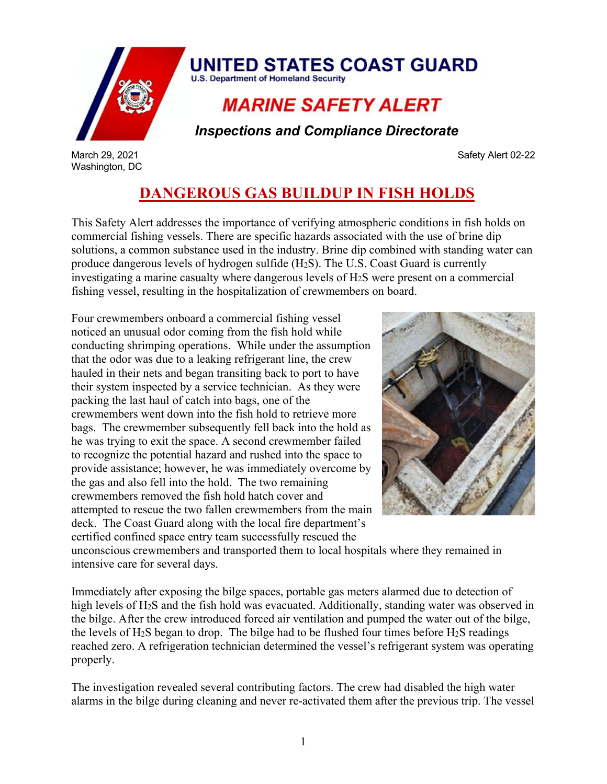

Washington, DC

 *Inspections and Compliance Directorate*

March 29, 2021 Safety Alert [02-22](https://cg.portal.uscg.mil/communities/misle/MISLE%2050%20Help/MISLE%205.0%20User%20Guides/Policy%20User%20Guides/MCI-05_Documentation_and_Reporting_Procedures_MCI-05_Ver%201.02.pdf)

## **DANGEROUS GAS BUILDUP IN FISH HOLDS**

This Safety Alert addresses the importance of verifying atmospheric conditions in fish holds on commercial fishing vessels. There are specific hazards associated with the use of brine dip solutions, a common substance used in the industry. Brine dip combined with standing water can produce dangerous levels of hydrogen sulfide (H2S). The U.S. Coast Guard is currently investigating a marine casualty where dangerous levels of H2S were present on a commercial fishing vessel, resulting in the hospitalization of crewmembers on board.

Four crewmembers onboard a commercial fishing vessel noticed an unusual odor coming from the fish hold while conducting shrimping operations. While under the assumption that the odor was due to a leaking refrigerant line, the crew hauled in their nets and began transiting back to port to have their system inspected by a service technician. As they were packing the last haul of catch into bags, one of the crewmembers went down into the fish hold to retrieve more bags. The crewmember subsequently fell back into the hold as he was trying to exit the space. A second crewmember failed to recognize the potential hazard and rushed into the space to provide assistance; however, he was immediately overcome by the gas and also fell into the hold. The two remaining crewmembers removed the fish hold hatch cover and attempted to rescue the two fallen crewmembers from the main deck. The Coast Guard along with the local fire department's certified confined space entry team successfully rescued the



unconscious crewmembers and transported them to local hospitals where they remained in intensive care for several days.

Immediately after exposing the bilge spaces, portable gas meters alarmed due to detection of high levels of H2S and the fish hold was evacuated. Additionally, standing water was observed in the bilge. After the crew introduced forced air ventilation and pumped the water out of the bilge, the levels of  $H_2S$  began to drop. The bilge had to be flushed four times before  $H_2S$  readings reached zero. A refrigeration technician determined the vessel's refrigerant system was operating properly.

The investigation revealed several contributing factors. The crew had disabled the high water alarms in the bilge during cleaning and never re-activated them after the previous trip. The vessel